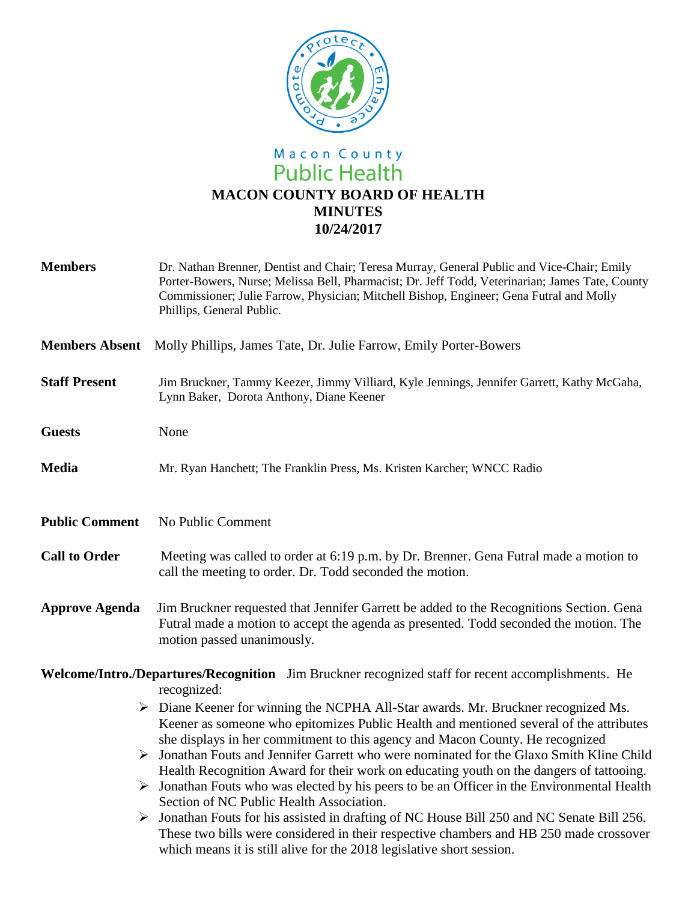

# Macon County<br>Public Health **MACON COUNTY BOARD OF HEALTH MINUTES 10/24/2017**

| <b>Members</b>                                                                                                    | Dr. Nathan Brenner, Dentist and Chair; Teresa Murray, General Public and Vice-Chair; Emily<br>Porter-Bowers, Nurse; Melissa Bell, Pharmacist; Dr. Jeff Todd, Veterinarian; James Tate, County<br>Commissioner; Julie Farrow, Physician; Mitchell Bishop, Engineer; Gena Futral and Molly<br>Phillips, General Public.                                                                                                                                                                                                                                                                                                                                                                                                                                                                                                                                                   |
|-------------------------------------------------------------------------------------------------------------------|-------------------------------------------------------------------------------------------------------------------------------------------------------------------------------------------------------------------------------------------------------------------------------------------------------------------------------------------------------------------------------------------------------------------------------------------------------------------------------------------------------------------------------------------------------------------------------------------------------------------------------------------------------------------------------------------------------------------------------------------------------------------------------------------------------------------------------------------------------------------------|
| <b>Members Absent</b>                                                                                             | Molly Phillips, James Tate, Dr. Julie Farrow, Emily Porter-Bowers                                                                                                                                                                                                                                                                                                                                                                                                                                                                                                                                                                                                                                                                                                                                                                                                       |
| <b>Staff Present</b>                                                                                              | Jim Bruckner, Tammy Keezer, Jimmy Villiard, Kyle Jennings, Jennifer Garrett, Kathy McGaha,<br>Lynn Baker, Dorota Anthony, Diane Keener                                                                                                                                                                                                                                                                                                                                                                                                                                                                                                                                                                                                                                                                                                                                  |
| <b>Guests</b>                                                                                                     | None                                                                                                                                                                                                                                                                                                                                                                                                                                                                                                                                                                                                                                                                                                                                                                                                                                                                    |
| <b>Media</b>                                                                                                      | Mr. Ryan Hanchett; The Franklin Press, Ms. Kristen Karcher; WNCC Radio                                                                                                                                                                                                                                                                                                                                                                                                                                                                                                                                                                                                                                                                                                                                                                                                  |
| <b>Public Comment</b>                                                                                             | No Public Comment                                                                                                                                                                                                                                                                                                                                                                                                                                                                                                                                                                                                                                                                                                                                                                                                                                                       |
| <b>Call to Order</b>                                                                                              | Meeting was called to order at 6:19 p.m. by Dr. Brenner. Gena Futral made a motion to<br>call the meeting to order. Dr. Todd seconded the motion.                                                                                                                                                                                                                                                                                                                                                                                                                                                                                                                                                                                                                                                                                                                       |
| <b>Approve Agenda</b>                                                                                             | Jim Bruckner requested that Jennifer Garrett be added to the Recognitions Section. Gena<br>Futral made a motion to accept the agenda as presented. Todd seconded the motion. The<br>motion passed unanimously.                                                                                                                                                                                                                                                                                                                                                                                                                                                                                                                                                                                                                                                          |
| Welcome/Intro./Departures/Recognition Jim Bruckner recognized staff for recent accomplishments. He<br>recognized: |                                                                                                                                                                                                                                                                                                                                                                                                                                                                                                                                                                                                                                                                                                                                                                                                                                                                         |
| ➤                                                                                                                 | $\triangleright$ Diane Keener for winning the NCPHA All-Star awards. Mr. Bruckner recognized Ms.<br>Keener as someone who epitomizes Public Health and mentioned several of the attributes<br>she displays in her commitment to this agency and Macon County. He recognized<br>Jonathan Fouts and Jennifer Garrett who were nominated for the Glaxo Smith Kline Child<br>Health Recognition Award for their work on educating youth on the dangers of tattooing.<br>Jonathan Fouts who was elected by his peers to be an Officer in the Environmental Health<br>Section of NC Public Health Association.<br>Jonathan Fouts for his assisted in drafting of NC House Bill 250 and NC Senate Bill 256.<br>These two bills were considered in their respective chambers and HB 250 made crossover<br>which means it is still alive for the 2018 legislative short session. |
|                                                                                                                   |                                                                                                                                                                                                                                                                                                                                                                                                                                                                                                                                                                                                                                                                                                                                                                                                                                                                         |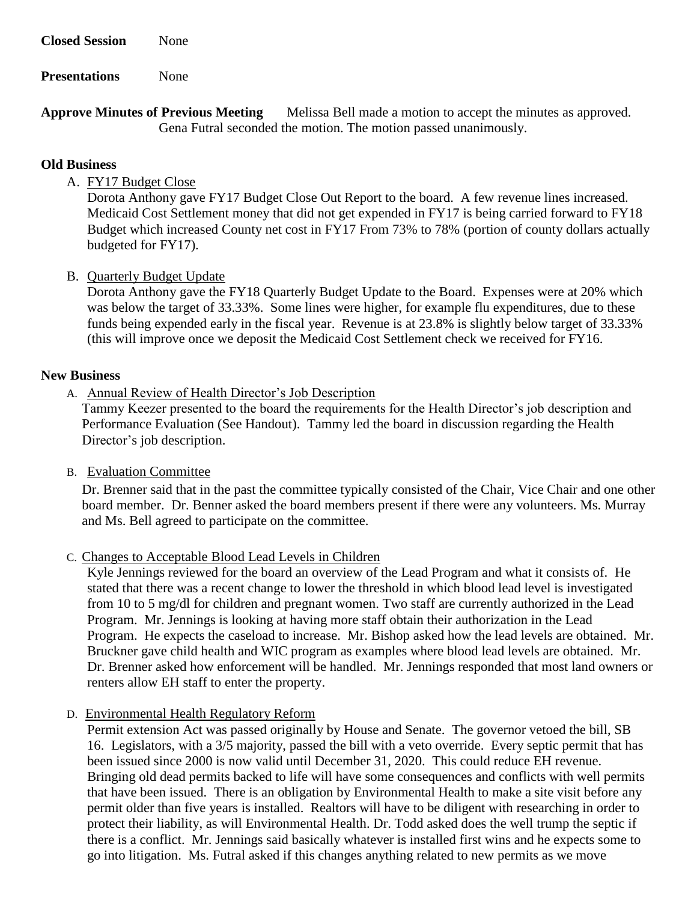**Closed Session** None

**Presentations** None

Approve Minutes of Previous Meeting Melissa Bell made a motion to accept the minutes as approved. Gena Futral seconded the motion. The motion passed unanimously.

#### **Old Business**

# A. FY17 Budget Close

Dorota Anthony gave FY17 Budget Close Out Report to the board. A few revenue lines increased. Medicaid Cost Settlement money that did not get expended in FY17 is being carried forward to FY18 Budget which increased County net cost in FY17 From 73% to 78% (portion of county dollars actually budgeted for FY17).

## B. Quarterly Budget Update

Dorota Anthony gave the FY18 Quarterly Budget Update to the Board. Expenses were at 20% which was below the target of 33.33%. Some lines were higher, for example flu expenditures, due to these funds being expended early in the fiscal year. Revenue is at 23.8% is slightly below target of 33.33% (this will improve once we deposit the Medicaid Cost Settlement check we received for FY16.

#### **New Business**

A. Annual Review of Health Director's Job Description

Tammy Keezer presented to the board the requirements for the Health Director's job description and Performance Evaluation (See Handout). Tammy led the board in discussion regarding the Health Director's job description.

#### B. Evaluation Committee

Dr. Brenner said that in the past the committee typically consisted of the Chair, Vice Chair and one other board member. Dr. Benner asked the board members present if there were any volunteers. Ms. Murray and Ms. Bell agreed to participate on the committee.

#### C. Changes to Acceptable Blood Lead Levels in Children

Kyle Jennings reviewed for the board an overview of the Lead Program and what it consists of. He stated that there was a recent change to lower the threshold in which blood lead level is investigated from 10 to 5 mg/dl for children and pregnant women. Two staff are currently authorized in the Lead Program. Mr. Jennings is looking at having more staff obtain their authorization in the Lead Program. He expects the caseload to increase. Mr. Bishop asked how the lead levels are obtained. Mr. Bruckner gave child health and WIC program as examples where blood lead levels are obtained. Mr. Dr. Brenner asked how enforcement will be handled. Mr. Jennings responded that most land owners or renters allow EH staff to enter the property.

D. Environmental Health Regulatory Reform

Permit extension Act was passed originally by House and Senate. The governor vetoed the bill, SB 16. Legislators, with a 3/5 majority, passed the bill with a veto override. Every septic permit that has been issued since 2000 is now valid until December 31, 2020. This could reduce EH revenue. Bringing old dead permits backed to life will have some consequences and conflicts with well permits that have been issued. There is an obligation by Environmental Health to make a site visit before any permit older than five years is installed. Realtors will have to be diligent with researching in order to protect their liability, as will Environmental Health. Dr. Todd asked does the well trump the septic if there is a conflict. Mr. Jennings said basically whatever is installed first wins and he expects some to go into litigation. Ms. Futral asked if this changes anything related to new permits as we move